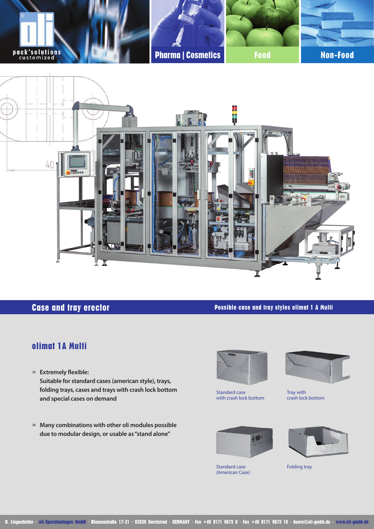

# **Case and tray erector**

**Possible case and tray styles olimat 1 A Multi**

### **olimat 1A Multi**

- » **Extremely flexible: Suitable for standard cases (american style), trays, folding trays, cases and trays with crash lock bottom and special cases on demand**
- » **Many combinations with other oli modules possible due to modular design, or usable as "stand alone"**



Standard case with crash lock bottom



Tray with crash lock bottom







Folding tray